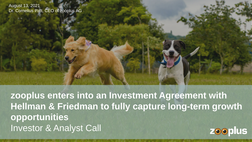August 13, 2021 Dr. Cornelius Patt, CEO of zooplus AG

**zooplus enters into an Investment Agreement with Hellman & Friedman to fully capture long-term growth opportunities**  Investor & Analyst Call **zooplus**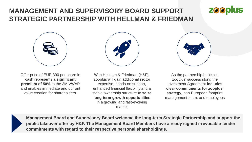### **MANAGEMENT AND SUPERVISORY BOARD SUPPORT STRATEGIC PARTNERSHIP WITH HELLMAN & FRIEDMAN**



Offer price of EUR 390 per share in cash represents a **significant premium of 50%** to the 3M VWAP and enables immediate and upfront value creation for shareholders.



With Hellman & Friedman (H&F), zooplus will gain additional sector expertise, hands-on support, enhanced financial flexibility and a stable ownership structure to **seize long-term growth opportunities** in a growing and fast-evolving market



**zooplus** 

As the partnership builds on zooplus' success story, the Investment Agreement **includes clear commitments for zooplus' strategy**, pan-European footprint, management team, and employees



**Management Board and Supervisory Board welcome the long-term Strategic Partnership and support the public takeover offer by H&F. The Management Board Members have already signed irrevocable tender commitments with regard to their respective personal shareholdings.**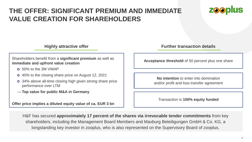## **THE OFFER: SIGNIFICANT PREMIUM AND IMMEDIATE VALUE CREATION FOR SHAREHOLDERS**



Shareholders benefit from a **significant premium** as well as **immediate and upfront value creation**

- 50% to the 3M VWAP
- 40% to the closing share price on August 12, 2021
- 34% above all-time closing high given strong share price performance over LTM
- → **Top value for public M&A in Germany**

**Offer price implies a diluted equity value of ca. EUR 3 bn**

**Highly attractive offer Further transaction details** 

**Acceptance threshold** of 50 percent plus one share

**No intention** to enter into domination and/or profit and loss transfer agreement

Transaction is **100% equity funded**

H&F has secured **approximately 17 percent of the shares via irrevocable tender commitments** from key shareholders, including the Management Board Members and Maxburg Beteiligungen GmbH & Co. KG, a longstanding key investor in zooplus, who is also represented on the Supervisory Board of zooplus.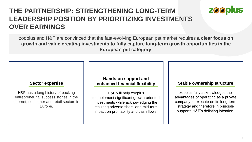## **THE PARTNERSHIP: STRENGTHENING LONG-TERM LEADERSHIP POSITION BY PRIORITIZING INVESTMENTS OVER EARNINGS**

zooplus and H&F are convinced that the fast-evolving European pet market requires **a clear focus on growth and value creating investments to fully capture long-term growth opportunities in the European pet category**.

#### **Sector expertise**

H&F has a long history of backing entrepreneurial success stories in the internet, consumer and retail sectors in Europe.

### **Hands-on support and enhanced financial flexibility**

H&F will help zooplus to implement significant growth-oriented investments while acknowledging the resulting adverse short- and mid-term impact on profitability and cash flows.

#### **Stable ownership structure**

**zooplus** 

zooplus fully acknowledges the advantages of operating as a private company to execute on its long-term strategy and therefore in principle supports H&F's delisting intention.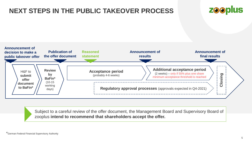# **NEXT STEPS IN THE PUBLIC TAKEOVER PROCESS**





Subject to a careful review of the offer document, the Management Board and Supervisory Board of zooplus **intend to recommend that shareholders accept the offer.**